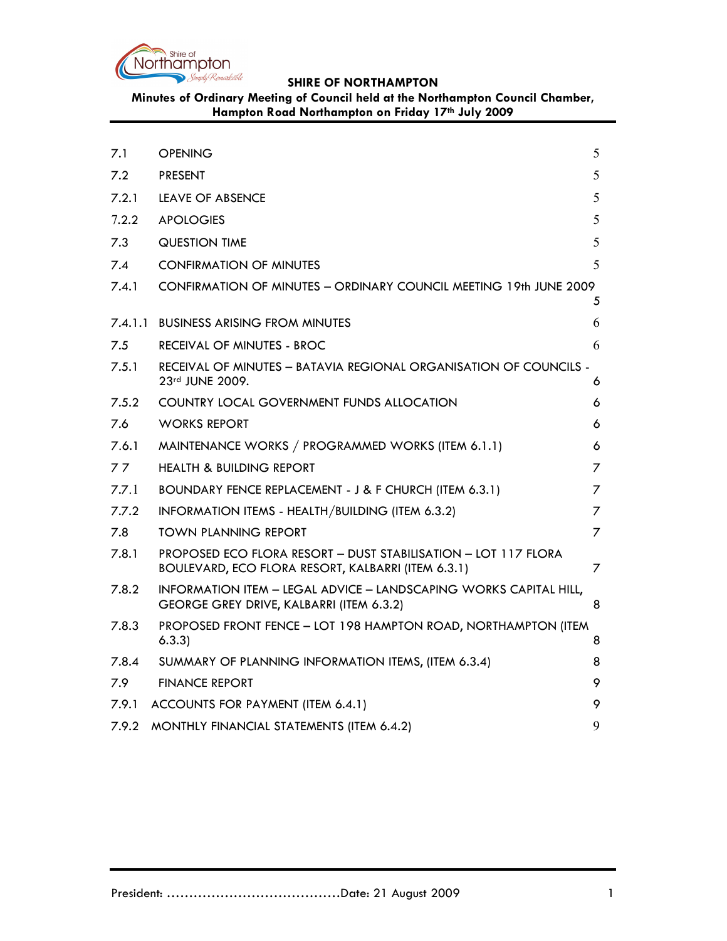

**Minutes of Ordinary Meeting of Council held at the Northampton Council Chamber, Hampton Road Northampton on Friday 17th July 2009**

| 7.1     | <b>OPENING</b>                                                                                                       | 5              |
|---------|----------------------------------------------------------------------------------------------------------------------|----------------|
| 7.2     | <b>PRESENT</b>                                                                                                       | 5              |
| 7.2.1   | LEAVE OF ABSENCE                                                                                                     | 5              |
| 7.2.2   | <b>APOLOGIES</b>                                                                                                     | 5              |
| 7.3     | <b>QUESTION TIME</b>                                                                                                 | 5              |
| 7.4     | <b>CONFIRMATION OF MINUTES</b>                                                                                       | 5              |
| 7.4.1   | CONFIRMATION OF MINUTES - ORDINARY COUNCIL MEETING 19th JUNE 2009                                                    |                |
|         |                                                                                                                      | 5              |
| 7.4.1.1 | <b>BUSINESS ARISING FROM MINUTES</b>                                                                                 | 6              |
| 7.5     | RECEIVAL OF MINUTES - BROC                                                                                           | 6              |
| 7.5.1   | RECEIVAL OF MINUTES - BATAVIA REGIONAL ORGANISATION OF COUNCILS -<br>23rd JUNE 2009.                                 | 6              |
| 7.5.2   | COUNTRY LOCAL GOVERNMENT FUNDS ALLOCATION                                                                            | 6              |
| 7.6     | <b>WORKS REPORT</b>                                                                                                  | 6              |
| 7.6.1   | MAINTENANCE WORKS / PROGRAMMED WORKS (ITEM 6.1.1)                                                                    | 6              |
| 77      | <b>HEALTH &amp; BUILDING REPORT</b>                                                                                  | 7              |
| 7.7.1   | BOUNDARY FENCE REPLACEMENT - J & F CHURCH (ITEM 6.3.1)                                                               | $\overline{7}$ |
| 7.7.2   | INFORMATION ITEMS - HEALTH/BUILDING (ITEM 6.3.2)                                                                     | 7              |
| 7.8     | <b>TOWN PLANNING REPORT</b>                                                                                          | 7              |
| 7.8.1   | PROPOSED ECO FLORA RESORT - DUST STABILISATION - LOT 117 FLORA<br>BOULEVARD, ECO FLORA RESORT, KALBARRI (ITEM 6.3.1) | 7              |
| 7.8.2   | INFORMATION ITEM - LEGAL ADVICE - LANDSCAPING WORKS CAPITAL HILL,<br>GEORGE GREY DRIVE, KALBARRI (ITEM 6.3.2)        | 8              |
| 7.8.3   | PROPOSED FRONT FENCE - LOT 198 HAMPTON ROAD, NORTHAMPTON (ITEM<br>6.3.3)                                             | 8              |
| 7.8.4   | SUMMARY OF PLANNING INFORMATION ITEMS, (ITEM 6.3.4)                                                                  | 8              |
| 7.9     | <b>FINANCE REPORT</b>                                                                                                | 9              |
| 7.9.1   | ACCOUNTS FOR PAYMENT (ITEM 6.4.1)                                                                                    | 9              |
| 7.9.2   | MONTHLY FINANCIAL STATEMENTS (ITEM 6.4.2)                                                                            | 9              |
|         |                                                                                                                      |                |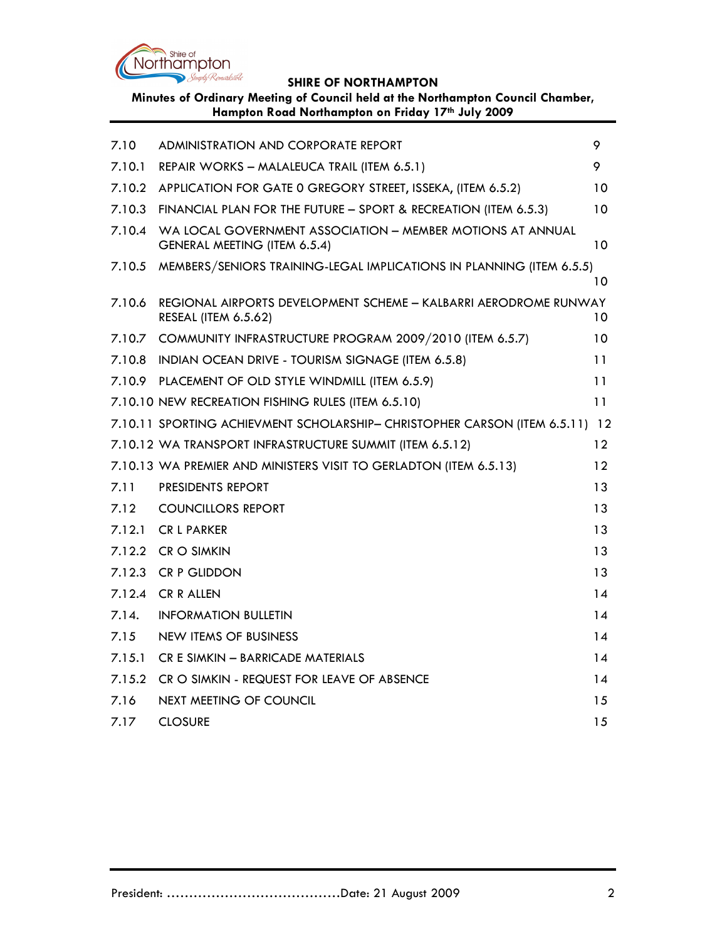

**Minutes of Ordinary Meeting of Council held at the Northampton Council Chamber, Hampton Road Northampton on Friday 17th July 2009**

| 7.10   | ADMINISTRATION AND CORPORATE REPORT                                                             | 9               |
|--------|-------------------------------------------------------------------------------------------------|-----------------|
| 7.10.1 | REPAIR WORKS - MALALEUCA TRAIL (ITEM 6.5.1)                                                     | 9               |
| 7.10.2 | APPLICATION FOR GATE 0 GREGORY STREET, ISSEKA, (ITEM 6.5.2)                                     | 10              |
| 7.10.3 | FINANCIAL PLAN FOR THE FUTURE - SPORT & RECREATION (ITEM 6.5.3)                                 | 10              |
| 7.10.4 | WA LOCAL GOVERNMENT ASSOCIATION - MEMBER MOTIONS AT ANNUAL<br>GENERAL MEETING (ITEM 6.5.4)      | 10              |
| 7.10.5 | MEMBERS/SENIORS TRAINING-LEGAL IMPLICATIONS IN PLANNING (ITEM 6.5.5)                            |                 |
|        |                                                                                                 | 10              |
| 7.10.6 | REGIONAL AIRPORTS DEVELOPMENT SCHEME - KALBARRI AERODROME RUNWAY<br><b>RESEAL (ITEM 6.5.62)</b> | 10              |
|        | 7.10.7 COMMUNITY INFRASTRUCTURE PROGRAM 2009/2010 (ITEM 6.5.7)                                  | 10              |
| 7.10.8 | INDIAN OCEAN DRIVE - TOURISM SIGNAGE (ITEM 6.5.8)                                               | 11              |
|        | 7.10.9 PLACEMENT OF OLD STYLE WINDMILL (ITEM 6.5.9)                                             | 11              |
|        | 7.10.10 NEW RECREATION FISHING RULES (ITEM 6.5.10)                                              | 11              |
|        | 7.10.11 SPORTING ACHIEVMENT SCHOLARSHIP- CHRISTOPHER CARSON (ITEM 6.5.11) 12                    |                 |
|        | 7.10.12 WA TRANSPORT INFRASTRUCTURE SUMMIT (ITEM 6.5.12)                                        | $12 \ \mathrm{$ |
|        | 7.10.13 WA PREMIER AND MINISTERS VISIT TO GERLADTON (ITEM 6.5.13)                               | 12              |
| 7.11   | PRESIDENTS REPORT                                                                               | 13              |
| 7.12   | <b>COUNCILLORS REPORT</b>                                                                       | 13              |
| 7.12.1 | <b>CR L PARKER</b>                                                                              | 13              |
| 7.12.2 | CR O SIMKIN                                                                                     | 13              |
| 7.12.3 | <b>CR P GLIDDON</b>                                                                             | 13              |
| 7.12.4 | <b>CR R ALLEN</b>                                                                               | 14              |
| 7.14.  | <b>INFORMATION BULLETIN</b>                                                                     | 14              |
| 7.15   | NEW ITEMS OF BUSINESS                                                                           | 14              |
| 7.15.1 | CR E SIMKIN - BARRICADE MATERIALS                                                               | 14              |
| 7.15.2 | CR O SIMKIN - REQUEST FOR LEAVE OF ABSENCE                                                      | 14              |
| 7.16   | NEXT MEETING OF COUNCIL                                                                         | 15              |
| 7.17   | <b>CLOSURE</b>                                                                                  | 15              |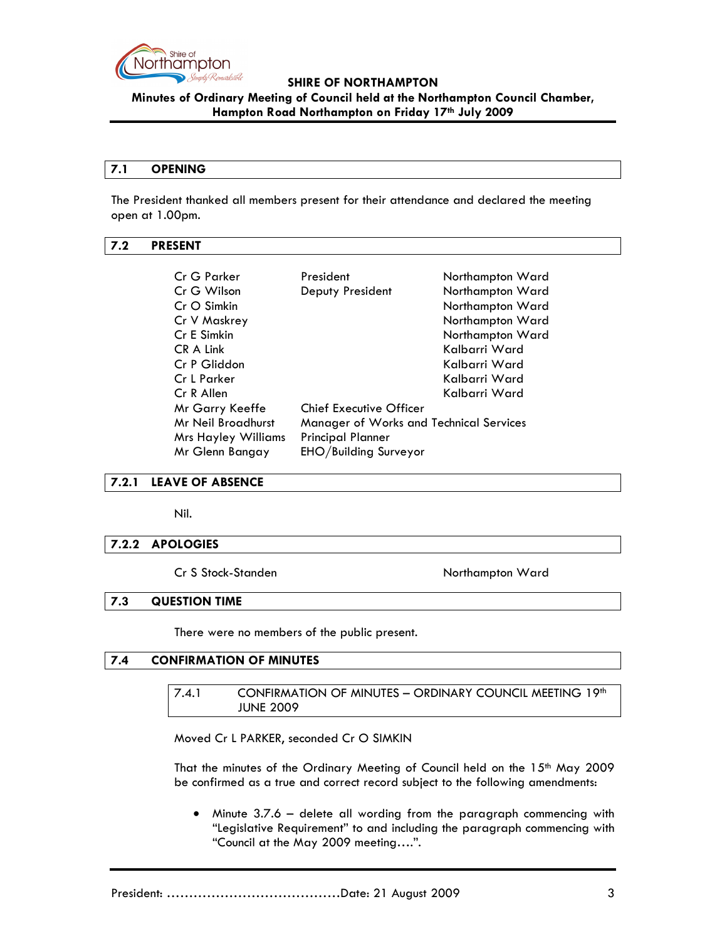

**Minutes of Ordinary Meeting of Council held at the Northampton Council Chamber, Hampton Road Northampton on Friday 17th July 2009**

#### **7.1 OPENING**

The President thanked all members present for their attendance and declared the meeting open at 1.00pm.

#### **7.2 PRESENT**

| Cr G Parker                | President                                      | Northampton Ward |
|----------------------------|------------------------------------------------|------------------|
| Cr G Wilson                | Deputy President                               | Northampton Ward |
| Cr O Simkin                |                                                | Northampton Ward |
| Cr V Maskrey               |                                                | Northampton Ward |
| Cr E Simkin                |                                                | Northampton Ward |
| CR A Link                  |                                                | Kalbarri Ward    |
| Cr P Gliddon               |                                                | Kalbarri Ward    |
| Cr L Parker                |                                                | Kalbarri Ward    |
| Cr R Allen                 |                                                | Kalbarri Ward    |
| Mr Garry Keeffe            | <b>Chief Executive Officer</b>                 |                  |
| Mr Neil Broadhurst         | <b>Manager of Works and Technical Services</b> |                  |
| <b>Mrs Hayley Williams</b> | <b>Principal Planner</b>                       |                  |
| Mr Glenn Bangay            | EHO/Building Surveyor                          |                  |

#### **7.2.1 LEAVE OF ABSENCE**

Nil.

#### **7.2.2 APOLOGIES**

Cr S Stock-Standen Northampton Ward

### **7.3 QUESTION TIME**

There were no members of the public present.

### **7.4 CONFIRMATION OF MINUTES**

7.4.1 CONFIRMATION OF MINUTES - ORDINARY COUNCIL MEETING 19<sup>th</sup> JUNE 2009

Moved Cr L PARKER, seconded Cr O SIMKIN

That the minutes of the Ordinary Meeting of Council held on the 15<sup>th</sup> May 2009 be confirmed as a true and correct record subject to the following amendments:

• Minute 3.7.6 – delete all wording from the paragraph commencing with "Legislative Requirement" to and including the paragraph commencing with "Council at the May 2009 meeting….".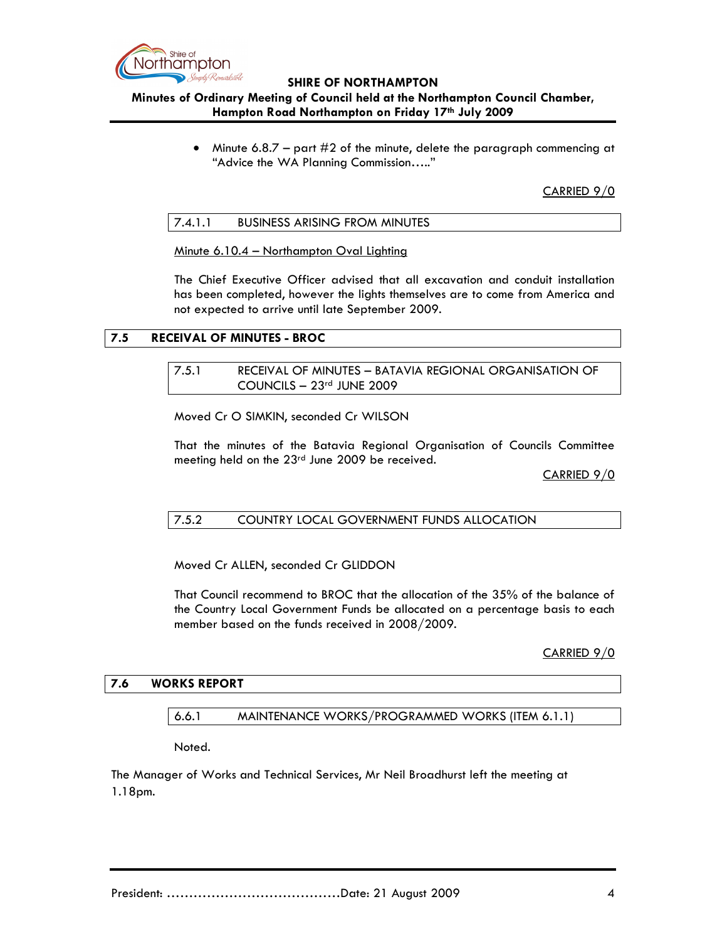

# **Minutes of Ordinary Meeting of Council held at the Northampton Council Chamber, Hampton Road Northampton on Friday 17th July 2009**

Minute  $6.8.7$  – part  $\#2$  of the minute, delete the paragraph commencing at "Advice the WA Planning Commission….."

CARRIED 9/0

### 7.4.1.1 BUSINESS ARISING FROM MINUTES

Minute 6.10.4 – Northampton Oval Lighting

The Chief Executive Officer advised that all excavation and conduit installation has been completed, however the lights themselves are to come from America and not expected to arrive until late September 2009.

# **7.5 RECEIVAL OF MINUTES - BROC**

7.5.1 RECEIVAL OF MINUTES – BATAVIA REGIONAL ORGANISATION OF COUNCILS – 23rd JUNE 2009

Moved Cr O SIMKIN, seconded Cr WILSON

That the minutes of the Batavia Regional Organisation of Councils Committee meeting held on the 23<sup>rd</sup> June 2009 be received.

CARRIED 9/0

# 7.5.2 COUNTRY LOCAL GOVERNMENT FUNDS ALLOCATION

Moved Cr ALLEN, seconded Cr GLIDDON

That Council recommend to BROC that the allocation of the 35% of the balance of the Country Local Government Funds be allocated on a percentage basis to each member based on the funds received in 2008/2009.

CARRIED 9/0

#### **7.6 WORKS REPORT**

#### 6.6.1 MAINTENANCE WORKS/PROGRAMMED WORKS (ITEM 6.1.1)

Noted.

The Manager of Works and Technical Services, Mr Neil Broadhurst left the meeting at 1.18pm.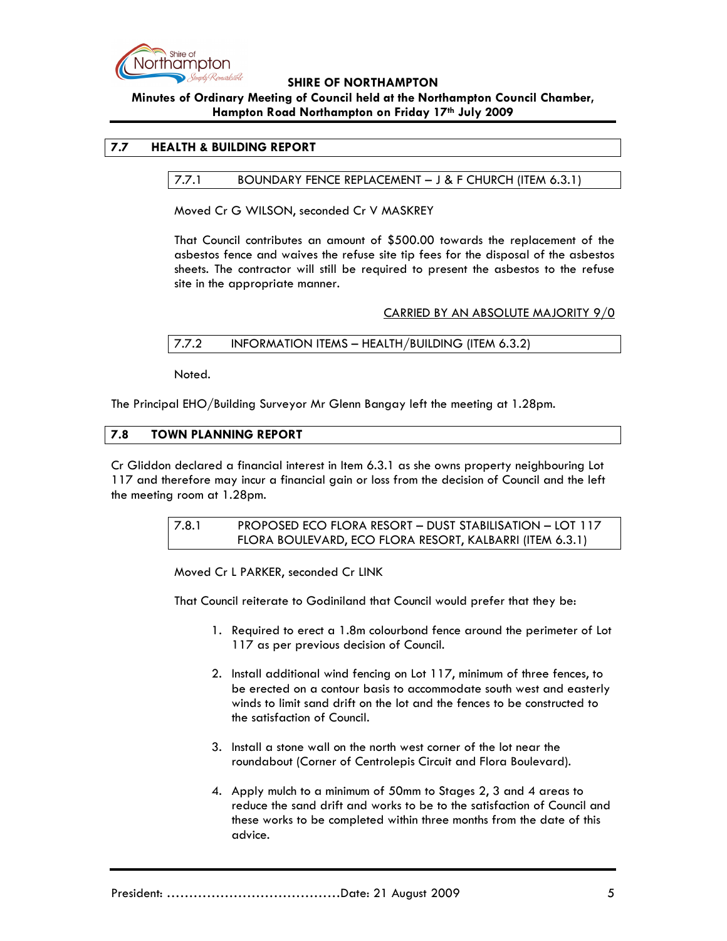

# **Minutes of Ordinary Meeting of Council held at the Northampton Council Chamber, Hampton Road Northampton on Friday 17th July 2009**

# **7.7 HEALTH & BUILDING REPORT**

# 7.7.1 BOUNDARY FENCE REPLACEMENT – J & F CHURCH (ITEM 6.3.1)

Moved Cr G WILSON, seconded Cr V MASKREY

That Council contributes an amount of \$500.00 towards the replacement of the asbestos fence and waives the refuse site tip fees for the disposal of the asbestos sheets. The contractor will still be required to present the asbestos to the refuse site in the appropriate manner.

### CARRIED BY AN ABSOLUTE MAJORITY 9/0

# 7.7.2 INFORMATION ITEMS – HEALTH/BUILDING (ITEM 6.3.2)

Noted.

The Principal EHO/Building Surveyor Mr Glenn Bangay left the meeting at 1.28pm.

### **7.8 TOWN PLANNING REPORT**

Cr Gliddon declared a financial interest in Item 6.3.1 as she owns property neighbouring Lot 117 and therefore may incur a financial gain or loss from the decision of Council and the left the meeting room at 1.28pm.

> 7.8.1 PROPOSED ECO FLORA RESORT – DUST STABILISATION – LOT 117 FLORA BOULEVARD, ECO FLORA RESORT, KALBARRI (ITEM 6.3.1)

Moved Cr L PARKER, seconded Cr LINK

That Council reiterate to Godiniland that Council would prefer that they be:

- 1. Required to erect a 1.8m colourbond fence around the perimeter of Lot 117 as per previous decision of Council.
- 2. Install additional wind fencing on Lot 117, minimum of three fences, to be erected on a contour basis to accommodate south west and easterly winds to limit sand drift on the lot and the fences to be constructed to the satisfaction of Council.
- 3. Install a stone wall on the north west corner of the lot near the roundabout (Corner of Centrolepis Circuit and Flora Boulevard).
- 4. Apply mulch to a minimum of 50mm to Stages 2, 3 and 4 areas to reduce the sand drift and works to be to the satisfaction of Council and these works to be completed within three months from the date of this advice.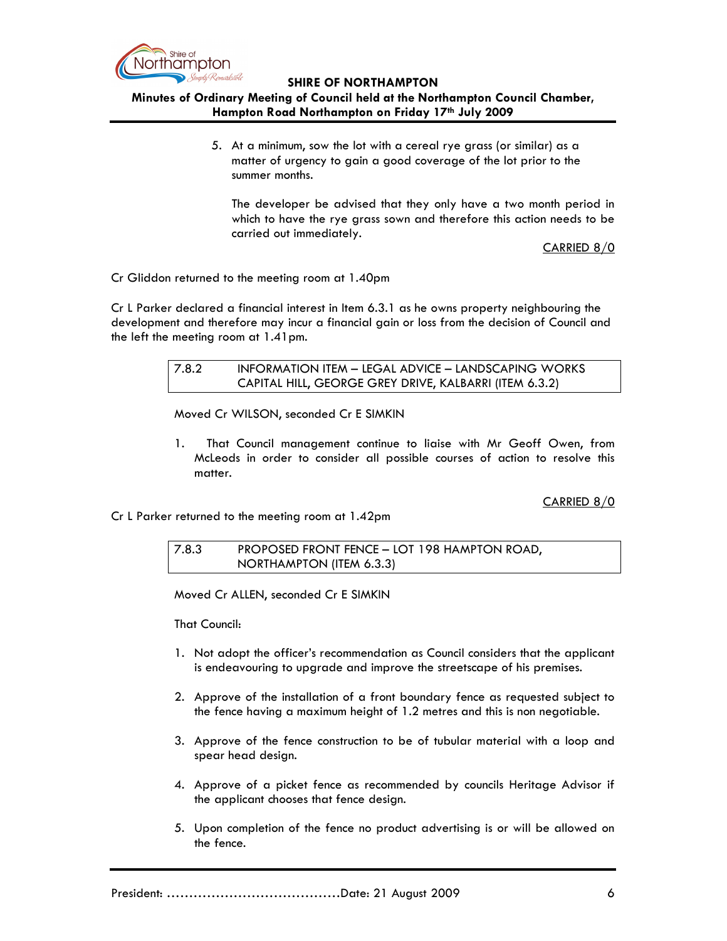

# **Minutes of Ordinary Meeting of Council held at the Northampton Council Chamber, Hampton Road Northampton on Friday 17th July 2009**

5. At a minimum, sow the lot with a cereal rye grass (or similar) as a matter of urgency to gain a good coverage of the lot prior to the summer months.

The developer be advised that they only have a two month period in which to have the rye grass sown and therefore this action needs to be carried out immediately.

CARRIED 8/0

Cr Gliddon returned to the meeting room at 1.40pm

Cr L Parker declared a financial interest in Item 6.3.1 as he owns property neighbouring the development and therefore may incur a financial gain or loss from the decision of Council and the left the meeting room at 1.41pm.

| 7.8.2 | INFORMATION ITEM - LEGAL ADVICE - LANDSCAPING WORKS    |
|-------|--------------------------------------------------------|
|       | CAPITAL HILL, GEORGE GREY DRIVE, KALBARRI (ITEM 6.3.2) |

Moved Cr WILSON, seconded Cr E SIMKIN

1. That Council management continue to liaise with Mr Geoff Owen, from McLeods in order to consider all possible courses of action to resolve this matter.

CARRIED 8/0

Cr L Parker returned to the meeting room at 1.42pm

7.8.3 PROPOSED FRONT FENCE – LOT 198 HAMPTON ROAD, NORTHAMPTON (ITEM 6.3.3)

Moved Cr ALLEN, seconded Cr E SIMKIN

That Council:

- 1. Not adopt the officer's recommendation as Council considers that the applicant is endeavouring to upgrade and improve the streetscape of his premises.
- 2. Approve of the installation of a front boundary fence as requested subject to the fence having a maximum height of 1.2 metres and this is non negotiable.
- 3. Approve of the fence construction to be of tubular material with a loop and spear head design.
- 4. Approve of a picket fence as recommended by councils Heritage Advisor if the applicant chooses that fence design.
- 5. Upon completion of the fence no product advertising is or will be allowed on the fence.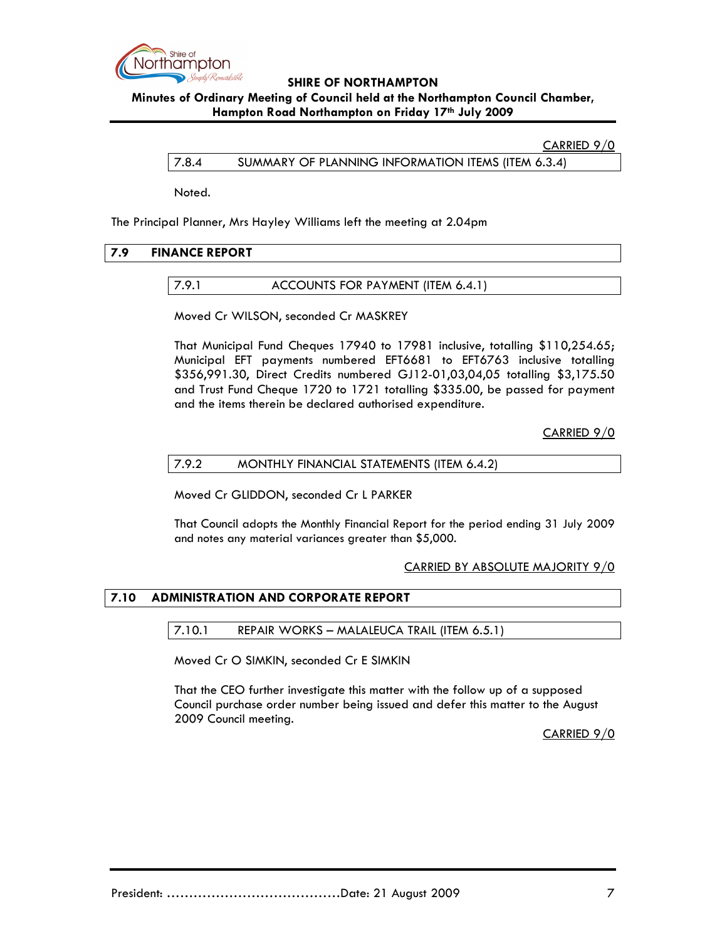

# **Minutes of Ordinary Meeting of Council held at the Northampton Council Chamber, Hampton Road Northampton on Friday 17th July 2009**

#### CARRIED 9/0

7.8.4 SUMMARY OF PLANNING INFORMATION ITEMS (ITEM 6.3.4)

Noted.

The Principal Planner, Mrs Hayley Williams left the meeting at 2.04pm

# **7.9 FINANCE REPORT**

#### 7.9.1 ACCOUNTS FOR PAYMENT (ITEM 6.4.1)

Moved Cr WILSON, seconded Cr MASKREY

That Municipal Fund Cheques 17940 to 17981 inclusive, totalling \$110,254.65; Municipal EFT payments numbered EFT6681 to EFT6763 inclusive totalling \$356,991.30, Direct Credits numbered GJ12-01,03,04,05 totalling \$3,175.50 and Trust Fund Cheque 1720 to 1721 totalling \$335.00, be passed for payment and the items therein be declared authorised expenditure.

CARRIED 9/0

#### 7.9.2 MONTHLY FINANCIAL STATEMENTS (ITEM 6.4.2)

Moved Cr GLIDDON, seconded Cr L PARKER

That Council adopts the Monthly Financial Report for the period ending 31 July 2009 and notes any material variances greater than \$5,000.

#### CARRIED BY ABSOLUTE MAJORITY 9/0

#### **7.10 ADMINISTRATION AND CORPORATE REPORT**

#### 7.10.1 REPAIR WORKS – MALALEUCA TRAIL (ITEM 6.5.1)

Moved Cr O SIMKIN, seconded Cr E SIMKIN

That the CEO further investigate this matter with the follow up of a supposed Council purchase order number being issued and defer this matter to the August 2009 Council meeting.

CARRIED 9/0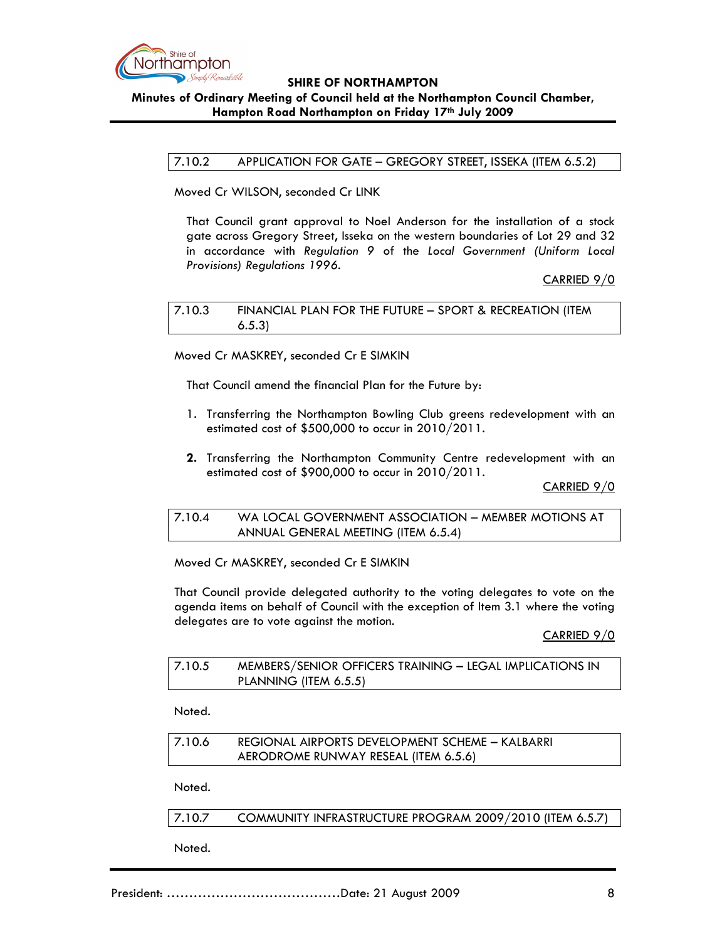

# **SHIRE OF NORTHAMPTON Minutes of Ordinary Meeting of Council held at the Northampton Council Chamber,**

### **Hampton Road Northampton on Friday 17th July 2009**

### 7.10.2 APPLICATION FOR GATE – GREGORY STREET, ISSEKA (ITEM 6.5.2)

Moved Cr WILSON, seconded Cr LINK

That Council grant approval to Noel Anderson for the installation of a stock gate across Gregory Street, Isseka on the western boundaries of Lot 29 and 32 in accordance with *Regulation 9* of the *Local Government (Uniform Local Provisions) Regulations 1996.* 

### CARRIED 9/0

7.10.3 FINANCIAL PLAN FOR THE FUTURE – SPORT & RECREATION (ITEM 6.5.3)

Moved Cr MASKREY, seconded Cr E SIMKIN

That Council amend the financial Plan for the Future by:

- 1. Transferring the Northampton Bowling Club greens redevelopment with an estimated cost of \$500,000 to occur in 2010/2011.
- **2.** Transferring the Northampton Community Centre redevelopment with an estimated cost of \$900,000 to occur in 2010/2011.

CARRIED 9/0

### 7.10.4 WA LOCAL GOVERNMENT ASSOCIATION – MEMBER MOTIONS AT ANNUAL GENERAL MEETING (ITEM 6.5.4)

Moved Cr MASKREY, seconded Cr E SIMKIN

That Council provide delegated authority to the voting delegates to vote on the agenda items on behalf of Council with the exception of Item 3.1 where the voting delegates are to vote against the motion.

CARRIED 9/0

| 7.10.5 | MEMBERS/SENIOR OFFICERS TRAINING - LEGAL IMPLICATIONS IN |
|--------|----------------------------------------------------------|
|        | PLANNING (ITEM 6.5.5)                                    |

Noted.

| 7.10.6 | REGIONAL AIRPORTS DEVELOPMENT SCHEME – KALBARRI |
|--------|-------------------------------------------------|
|        | AERODROME RUNWAY RESEAL (ITEM 6.5.6)            |

Noted.

7.10.7 COMMUNITY INFRASTRUCTURE PROGRAM 2009/2010 (ITEM 6.5.7)

Noted.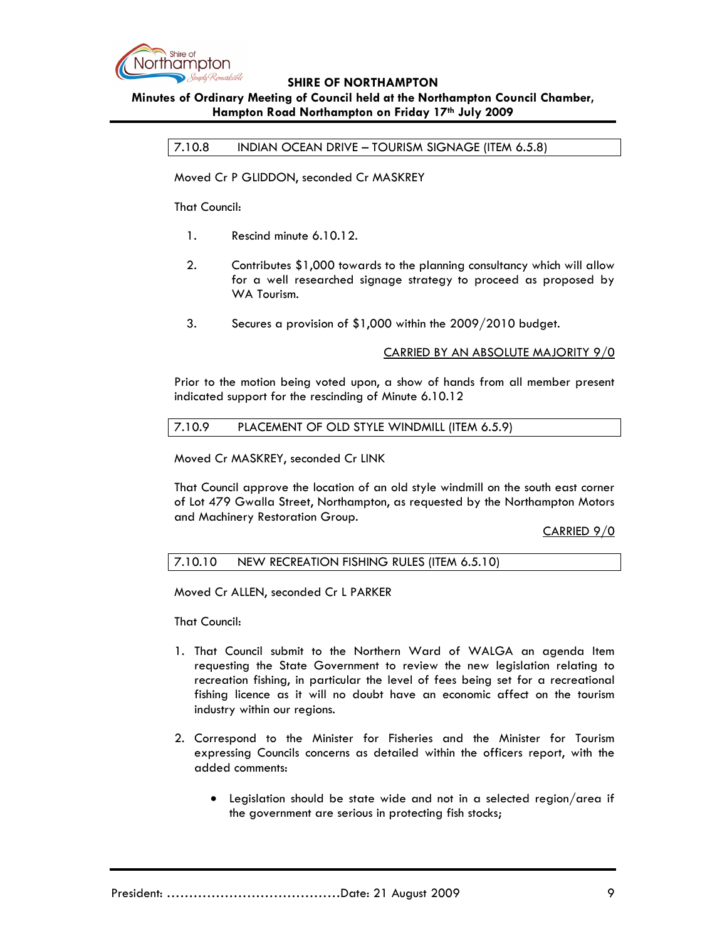

# **Minutes of Ordinary Meeting of Council held at the Northampton Council Chamber, Hampton Road Northampton on Friday 17th July 2009**

7.10.8 INDIAN OCEAN DRIVE – TOURISM SIGNAGE (ITEM 6.5.8)

Moved Cr P GLIDDON, seconded Cr MASKREY

That Council:

- 1. Rescind minute 6.10.12.
- 2. Contributes \$1,000 towards to the planning consultancy which will allow for a well researched signage strategy to proceed as proposed by WA Tourism.
- 3. Secures a provision of \$1,000 within the 2009/2010 budget.

CARRIED BY AN ABSOLUTE MAJORITY 9/0

Prior to the motion being voted upon, a show of hands from all member present indicated support for the rescinding of Minute 6.10.12

#### 7.10.9 PLACEMENT OF OLD STYLE WINDMILL (ITEM 6.5.9)

Moved Cr MASKREY, seconded Cr LINK

That Council approve the location of an old style windmill on the south east corner of Lot 479 Gwalla Street, Northampton, as requested by the Northampton Motors and Machinery Restoration Group.

CARRIED 9/0

#### 7.10.10 NEW RECREATION FISHING RULES (ITEM 6.5.10)

Moved Cr ALLEN, seconded Cr L PARKER

That Council:

- 1. That Council submit to the Northern Ward of WALGA an agenda Item requesting the State Government to review the new legislation relating to recreation fishing, in particular the level of fees being set for a recreational fishing licence as it will no doubt have an economic affect on the tourism industry within our regions.
- 2. Correspond to the Minister for Fisheries and the Minister for Tourism expressing Councils concerns as detailed within the officers report, with the added comments:
	- Legislation should be state wide and not in a selected region/area if the government are serious in protecting fish stocks;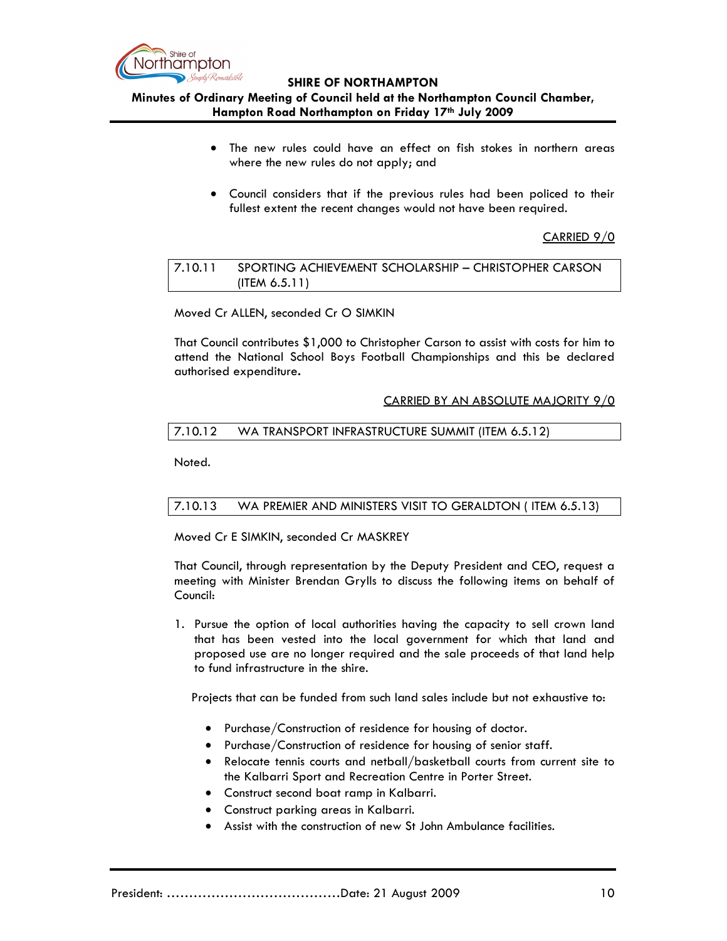

## **Minutes of Ordinary Meeting of Council held at the Northampton Council Chamber, Hampton Road Northampton on Friday 17th July 2009**

- The new rules could have an effect on fish stokes in northern areas where the new rules do not apply; and
- Council considers that if the previous rules had been policed to their fullest extent the recent changes would not have been required.

### CARRIED 9/0

# 7.10.11 SPORTING ACHIEVEMENT SCHOLARSHIP – CHRISTOPHER CARSON (ITEM 6.5.11)

#### Moved Cr ALLEN, seconded Cr O SIMKIN

That Council contributes \$1,000 to Christopher Carson to assist with costs for him to attend the National School Boys Football Championships and this be declared authorised expenditure**.** 

#### CARRIED BY AN ABSOLUTE MAJORITY 9/0

# 7.10.12 WA TRANSPORT INFRASTRUCTURE SUMMIT (ITEM 6.5.12)

Noted.

# 7.10.13 WA PREMIER AND MINISTERS VISIT TO GERALDTON ( ITEM 6.5.13)

Moved Cr E SIMKIN, seconded Cr MASKREY

That Council, through representation by the Deputy President and CEO, request a meeting with Minister Brendan Grylls to discuss the following items on behalf of Council:

1. Pursue the option of local authorities having the capacity to sell crown land that has been vested into the local government for which that land and proposed use are no longer required and the sale proceeds of that land help to fund infrastructure in the shire.

Projects that can be funded from such land sales include but not exhaustive to:

- Purchase/Construction of residence for housing of doctor.
- Purchase/Construction of residence for housing of senior staff.
- Relocate tennis courts and netball/basketball courts from current site to the Kalbarri Sport and Recreation Centre in Porter Street.
- Construct second boat ramp in Kalbarri.
- Construct parking areas in Kalbarri.
- Assist with the construction of new St John Ambulance facilities.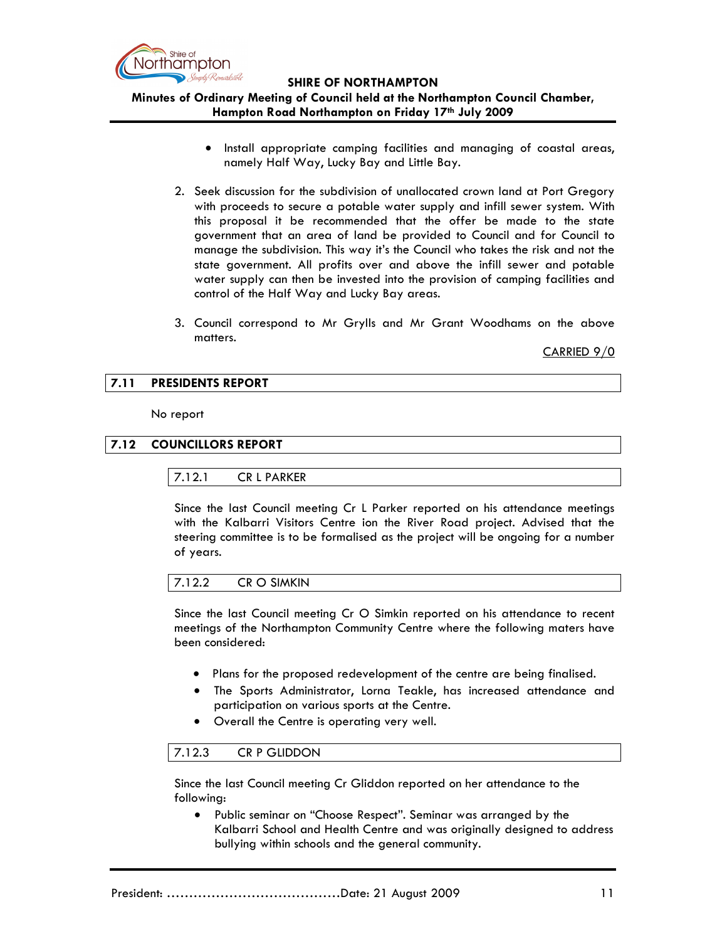

# **Minutes of Ordinary Meeting of Council held at the Northampton Council Chamber, Hampton Road Northampton on Friday 17th July 2009**

- Install appropriate camping facilities and managing of coastal areas, namely Half Way, Lucky Bay and Little Bay.
- 2. Seek discussion for the subdivision of unallocated crown land at Port Gregory with proceeds to secure a potable water supply and infill sewer system. With this proposal it be recommended that the offer be made to the state government that an area of land be provided to Council and for Council to manage the subdivision. This way it's the Council who takes the risk and not the state government. All profits over and above the infill sewer and potable water supply can then be invested into the provision of camping facilities and control of the Half Way and Lucky Bay areas.
- 3. Council correspond to Mr Grylls and Mr Grant Woodhams on the above matters.

CARRIED 9/0

### **7.11 PRESIDENTS REPORT**

No report

### **7.12 COUNCILLORS REPORT**

#### 7.12.1 CR L PARKER

Since the last Council meeting Cr L Parker reported on his attendance meetings with the Kalbarri Visitors Centre ion the River Road project. Advised that the steering committee is to be formalised as the project will be ongoing for a number of years.

|--|

Since the last Council meeting Cr O Simkin reported on his attendance to recent meetings of the Northampton Community Centre where the following maters have been considered:

- Plans for the proposed redevelopment of the centre are being finalised.
- The Sports Administrator, Lorna Teakle, has increased attendance and participation on various sports at the Centre.
- Overall the Centre is operating very well.

#### 7.12.3 CR P GLIDDON

Since the last Council meeting Cr Gliddon reported on her attendance to the following:

• Public seminar on "Choose Respect". Seminar was arranged by the Kalbarri School and Health Centre and was originally designed to address bullying within schools and the general community.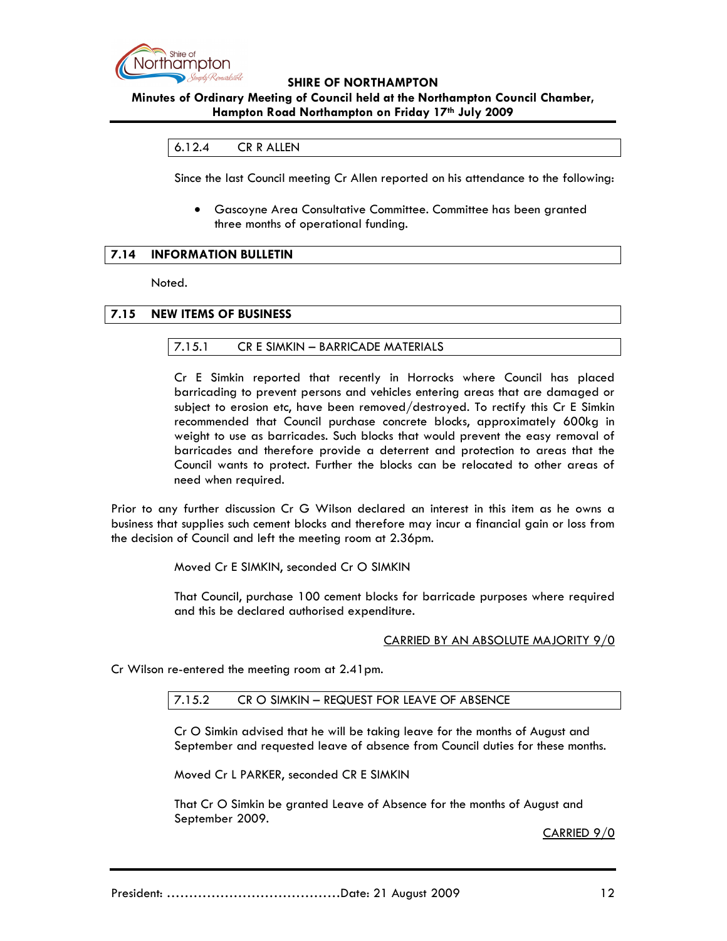

# **Minutes of Ordinary Meeting of Council held at the Northampton Council Chamber, Hampton Road Northampton on Friday 17th July 2009**

### 6.12.4 CR R ALLEN

Since the last Council meeting Cr Allen reported on his attendance to the following:

• Gascoyne Area Consultative Committee. Committee has been granted three months of operational funding.

# **7.14 INFORMATION BULLETIN**

Noted.

### **7.15 NEW ITEMS OF BUSINESS**

#### 7.15.1 CR E SIMKIN – BARRICADE MATERIALS

Cr E Simkin reported that recently in Horrocks where Council has placed barricading to prevent persons and vehicles entering areas that are damaged or subject to erosion etc, have been removed/destroyed. To rectify this Cr E Simkin recommended that Council purchase concrete blocks, approximately 600kg in weight to use as barricades. Such blocks that would prevent the easy removal of barricades and therefore provide a deterrent and protection to areas that the Council wants to protect. Further the blocks can be relocated to other areas of need when required.

Prior to any further discussion Cr G Wilson declared an interest in this item as he owns a business that supplies such cement blocks and therefore may incur a financial gain or loss from the decision of Council and left the meeting room at 2.36pm.

Moved Cr E SIMKIN, seconded Cr O SIMKIN

That Council, purchase 100 cement blocks for barricade purposes where required and this be declared authorised expenditure.

#### CARRIED BY AN ABSOLUTE MAJORITY 9/0

Cr Wilson re-entered the meeting room at 2.41pm.

#### 7.15.2 CR O SIMKIN – REQUEST FOR LEAVE OF ABSENCE

Cr O Simkin advised that he will be taking leave for the months of August and September and requested leave of absence from Council duties for these months.

Moved Cr L PARKER, seconded CR E SIMKIN

That Cr O Simkin be granted Leave of Absence for the months of August and September 2009.

CARRIED 9/0